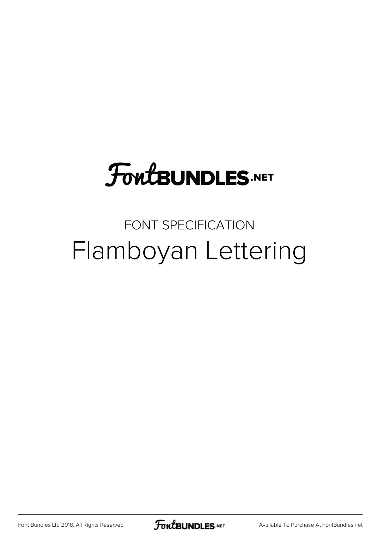## **FoutBUNDLES.NET**

#### FONT SPECIFICATION Flamboyan Lettering

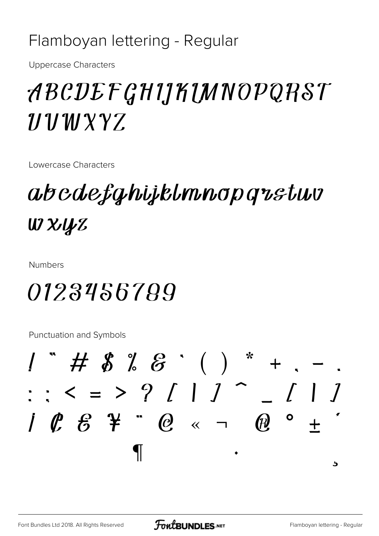#### Flamboyan lettering - Regular

**Uppercase Characters** 

### ABCDEFGHIJKIMNOPQRST  $11111227$

Lowercase Characters

abcdefghijklmnopgrstwv W XJyZ

**Numbers** 

#### 0123456789

**Punctuation and Symbols** 

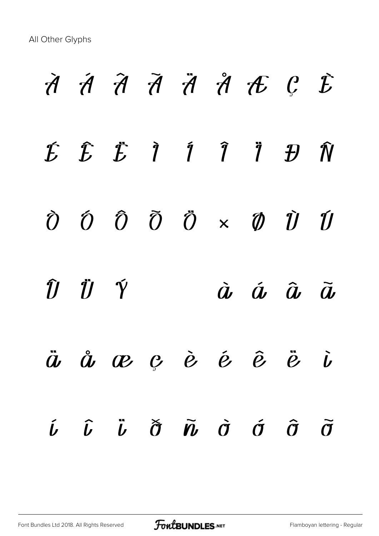# À Á Â Ã Ä Å Æ Ç È  $E$   $E$   $\ddot{E}$   $\ddot{I}$   $\ddot{I}$   $\ddot{I}$   $\ddot{B}$   $\ddot{N}$  $\tilde{O}$   $\tilde{O}$   $\tilde{O}$   $\tilde{O}$   $\times$   $\tilde{O}$   $\tilde{U}$   $\tilde{U}$  $\hat{U}$   $\ddot{U}$   $\acute{Y}$   $\dot{a}$   $\dot{a}$   $\ddot{a}$   $\ddot{a}$   $\ddot{a}$ ä å æ ç è é ê ë ì í î ï ð ñ ò ó ô õ